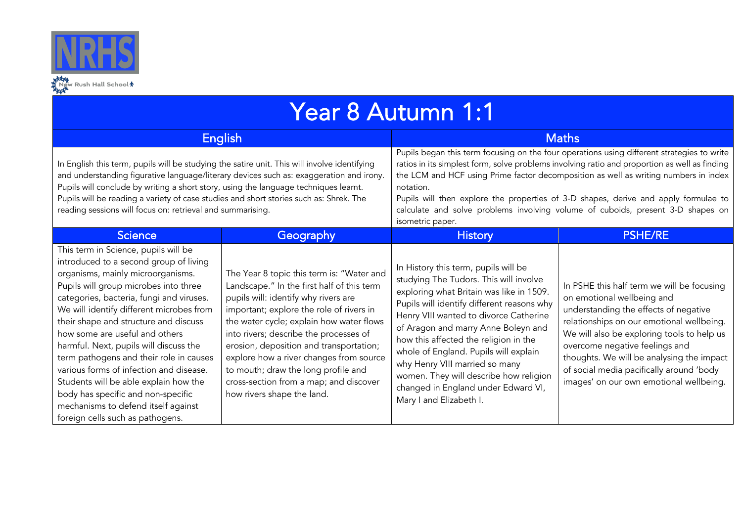

| Year 8 Autumn 1:1                                                                                                                                                                                                                                                                                                                                                                                                                                                                                                                                                                                                         |                                                                                                                                                                                                                                                                                                                                                                                                                                                                        |                                                                                                                                                                                                                                                                                                                                                                                                                                                                                                |                                                                                                                                                                                                                                                                                                                                                                                    |  |  |  |
|---------------------------------------------------------------------------------------------------------------------------------------------------------------------------------------------------------------------------------------------------------------------------------------------------------------------------------------------------------------------------------------------------------------------------------------------------------------------------------------------------------------------------------------------------------------------------------------------------------------------------|------------------------------------------------------------------------------------------------------------------------------------------------------------------------------------------------------------------------------------------------------------------------------------------------------------------------------------------------------------------------------------------------------------------------------------------------------------------------|------------------------------------------------------------------------------------------------------------------------------------------------------------------------------------------------------------------------------------------------------------------------------------------------------------------------------------------------------------------------------------------------------------------------------------------------------------------------------------------------|------------------------------------------------------------------------------------------------------------------------------------------------------------------------------------------------------------------------------------------------------------------------------------------------------------------------------------------------------------------------------------|--|--|--|
| English                                                                                                                                                                                                                                                                                                                                                                                                                                                                                                                                                                                                                   |                                                                                                                                                                                                                                                                                                                                                                                                                                                                        | <b>Maths</b>                                                                                                                                                                                                                                                                                                                                                                                                                                                                                   |                                                                                                                                                                                                                                                                                                                                                                                    |  |  |  |
| In English this term, pupils will be studying the satire unit. This will involve identifying<br>and understanding figurative language/literary devices such as: exaggeration and irony.<br>Pupils will conclude by writing a short story, using the language techniques learnt.<br>Pupils will be reading a variety of case studies and short stories such as: Shrek. The<br>reading sessions will focus on: retrieval and summarising.                                                                                                                                                                                   |                                                                                                                                                                                                                                                                                                                                                                                                                                                                        | Pupils began this term focusing on the four operations using different strategies to write<br>ratios in its simplest form, solve problems involving ratio and proportion as well as finding<br>the LCM and HCF using Prime factor decomposition as well as writing numbers in index<br>notation.<br>Pupils will then explore the properties of 3-D shapes, derive and apply formulae to<br>calculate and solve problems involving volume of cuboids, present 3-D shapes on<br>isometric paper. |                                                                                                                                                                                                                                                                                                                                                                                    |  |  |  |
| <b>Science</b>                                                                                                                                                                                                                                                                                                                                                                                                                                                                                                                                                                                                            | Geography                                                                                                                                                                                                                                                                                                                                                                                                                                                              | <b>History</b>                                                                                                                                                                                                                                                                                                                                                                                                                                                                                 | <b>PSHE/RE</b>                                                                                                                                                                                                                                                                                                                                                                     |  |  |  |
| This term in Science, pupils will be<br>introduced to a second group of living<br>organisms, mainly microorganisms.<br>Pupils will group microbes into three<br>categories, bacteria, fungi and viruses.<br>We will identify different microbes from<br>their shape and structure and discuss<br>how some are useful and others<br>harmful. Next, pupils will discuss the<br>term pathogens and their role in causes<br>various forms of infection and disease.<br>Students will be able explain how the<br>body has specific and non-specific<br>mechanisms to defend itself against<br>foreign cells such as pathogens. | The Year 8 topic this term is: "Water and<br>Landscape." In the first half of this term<br>pupils will: identify why rivers are<br>important; explore the role of rivers in<br>the water cycle; explain how water flows<br>into rivers; describe the processes of<br>erosion, deposition and transportation;<br>explore how a river changes from source<br>to mouth; draw the long profile and<br>cross-section from a map; and discover<br>how rivers shape the land. | In History this term, pupils will be<br>studying The Tudors. This will involve<br>exploring what Britain was like in 1509.<br>Pupils will identify different reasons why<br>Henry VIII wanted to divorce Catherine<br>of Aragon and marry Anne Boleyn and<br>how this affected the religion in the<br>whole of England. Pupils will explain<br>why Henry VIII married so many<br>women. They will describe how religion<br>changed in England under Edward VI,<br>Mary I and Elizabeth I.      | In PSHE this half term we will be focusing<br>on emotional wellbeing and<br>understanding the effects of negative<br>relationships on our emotional wellbeing.<br>We will also be exploring tools to help us<br>overcome negative feelings and<br>thoughts. We will be analysing the impact<br>of social media pacifically around 'body<br>images' on our own emotional wellbeing. |  |  |  |